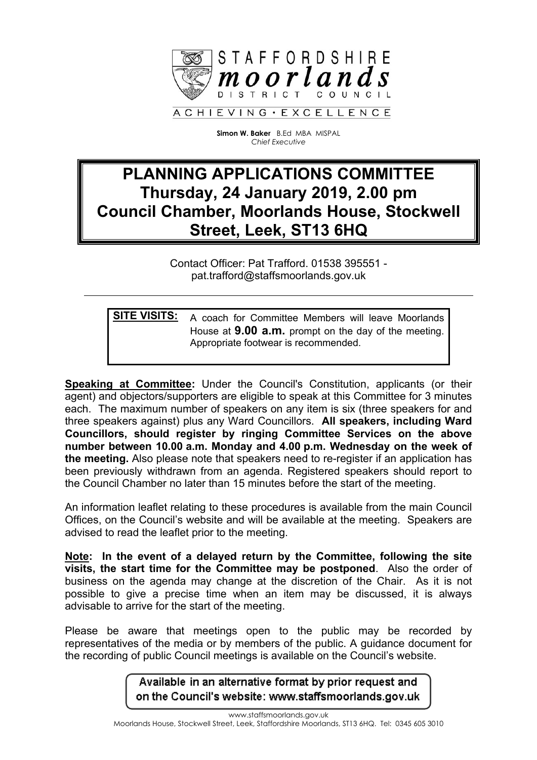

**Simon W. Baker** B.Ed MBA MISPAL *Chief Executive*

## **PLANNING APPLICATIONS COMMITTEE Thursday, 24 January 2019, 2.00 pm Council Chamber, Moorlands House, Stockwell Street, Leek, ST13 6HQ**

Contact Officer: Pat Trafford. 01538 395551 pat.trafford@staffsmoorlands.gov.uk

**SITE VISITS:** A coach for Committee Members will leave Moorlands House at **9.00 a.m.** prompt on the day of the meeting. Appropriate footwear is recommended.

**Speaking at Committee:** Under the Council's Constitution, applicants (or their agent) and objectors/supporters are eligible to speak at this Committee for 3 minutes each. The maximum number of speakers on any item is six (three speakers for and three speakers against) plus any Ward Councillors. **All speakers, including Ward Councillors, should register by ringing Committee Services on the above number between 10.00 a.m. Monday and 4.00 p.m. Wednesday on the week of the meeting.** Also please note that speakers need to re-register if an application has been previously withdrawn from an agenda. Registered speakers should report to the Council Chamber no later than 15 minutes before the start of the meeting.

An information leaflet relating to these procedures is available from the main Council Offices, on the Council's website and will be available at the meeting. Speakers are advised to read the leaflet prior to the meeting.

**Note: In the event of a delayed return by the Committee, following the site visits, the start time for the Committee may be postponed**. Also the order of business on the agenda may change at the discretion of the Chair. As it is not possible to give a precise time when an item may be discussed, it is always advisable to arrive for the start of the meeting.

Please be aware that meetings open to the public may be recorded by representatives of the media or by members of the public. A guidance document for the recording of public Council meetings is available on the Council's website.

> Available in an alternative format by prior request and on the Council's website: www.staffsmoorlands.gov.uk

> > www.staffsmoorlands.gov.uk

Moorlands House, Stockwell Street, Leek, Staffordshire Moorlands, ST13 6HQ. Tel: 0345 605 3010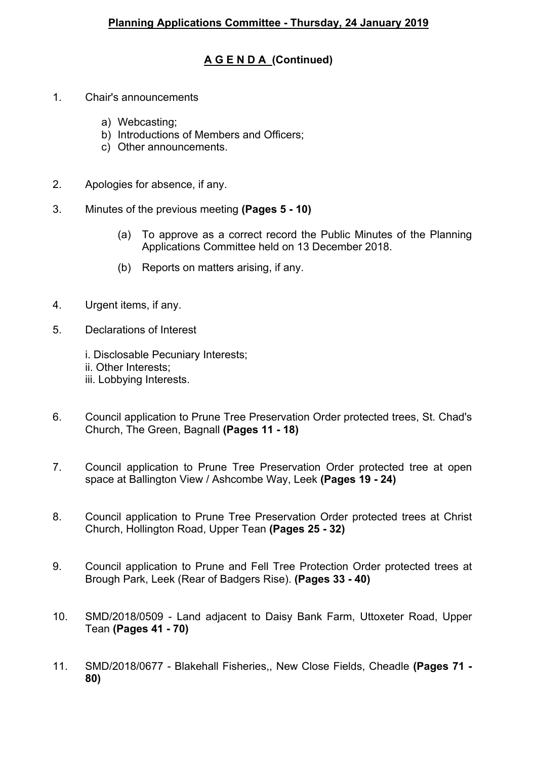## **A G E N D A (Continued)**

- 1. Chair's announcements
	- a) Webcasting;
	- b) Introductions of Members and Officers;
	- c) Other announcements.
- 2. Apologies for absence, if any.
- 3. Minutes of the previous meeting **(Pages 5 - 10)**
	- (a) To approve as a correct record the Public Minutes of the Planning Applications Committee held on 13 December 2018.
	- (b) Reports on matters arising, if any.
- 4. Urgent items, if any.
- 5. Declarations of Interest
	- i. Disclosable Pecuniary Interests;
	- ii. Other Interests;
	- iii. Lobbying Interests.
- 6. Council application to Prune Tree Preservation Order protected trees, St. Chad's Church, The Green, Bagnall **(Pages 11 - 18)**
- 7. Council application to Prune Tree Preservation Order protected tree at open space at Ballington View / Ashcombe Way, Leek **(Pages 19 - 24)**
- 8. Council application to Prune Tree Preservation Order protected trees at Christ Church, Hollington Road, Upper Tean **(Pages 25 - 32)**
- 9. Council application to Prune and Fell Tree Protection Order protected trees at Brough Park, Leek (Rear of Badgers Rise). **(Pages 33 - 40)**
- 10. SMD/2018/0509 Land adjacent to Daisy Bank Farm, Uttoxeter Road, Upper Tean **(Pages 41 - 70)**
- 11. SMD/2018/0677 Blakehall Fisheries,, New Close Fields, Cheadle **(Pages 71 - 80)**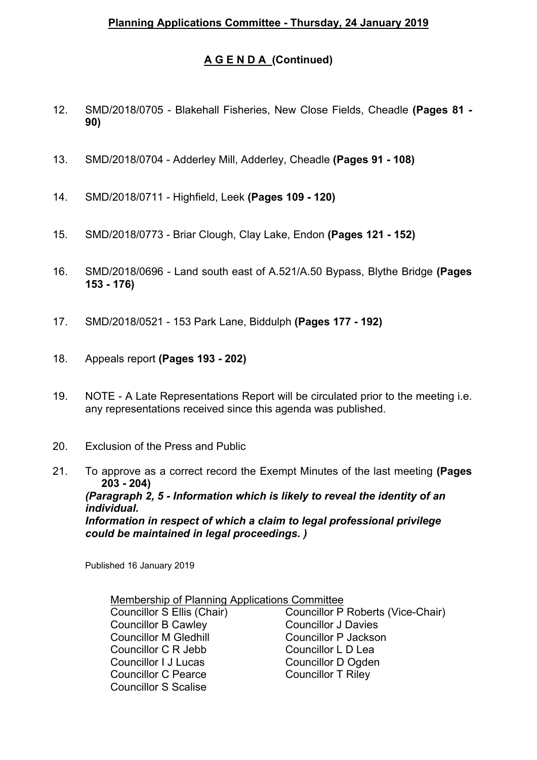## **A G E N D A (Continued)**

- 12. SMD/2018/0705 Blakehall Fisheries, New Close Fields, Cheadle **(Pages 81 - 90)**
- 13. SMD/2018/0704 Adderley Mill, Adderley, Cheadle **(Pages 91 - 108)**
- 14. SMD/2018/0711 Highfield, Leek **(Pages 109 - 120)**
- 15. SMD/2018/0773 Briar Clough, Clay Lake, Endon **(Pages 121 - 152)**
- 16. SMD/2018/0696 Land south east of A.521/A.50 Bypass, Blythe Bridge **(Pages 153 - 176)**
- 17. SMD/2018/0521 153 Park Lane, Biddulph **(Pages 177 - 192)**
- 18. Appeals report **(Pages 193 - 202)**
- 19. NOTE A Late Representations Report will be circulated prior to the meeting i.e. any representations received since this agenda was published.
- 20. Exclusion of the Press and Public
- 21. To approve as a correct record the Exempt Minutes of the last meeting **(Pages 203 - 204)** *(Paragraph 2, 5 - Information which is likely to reveal the identity of an individual. Information in respect of which a claim to legal professional privilege could be maintained in legal proceedings. )*

Published 16 January 2019

| Membership of Planning Applications Committee |                                   |
|-----------------------------------------------|-----------------------------------|
| Councillor S Ellis (Chair)                    | Councillor P Roberts (Vice-Chair) |
| <b>Councillor B Cawley</b>                    | <b>Councillor J Davies</b>        |
| <b>Councillor M Gledhill</b>                  | Councillor P Jackson              |
| Councillor C R Jebb                           | Councillor L D Lea                |
| Councillor I J Lucas                          | Councillor D Ogden                |
| <b>Councillor C Pearce</b>                    | <b>Councillor T Rilev</b>         |
| <b>Councillor S Scalise</b>                   |                                   |